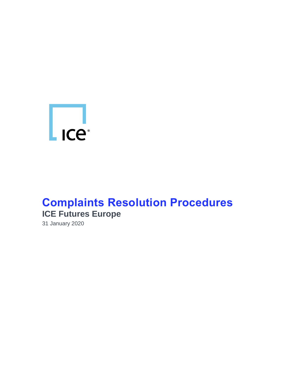

# **Complaints Resolution Procedures ICE Futures Europe**

31 January 2020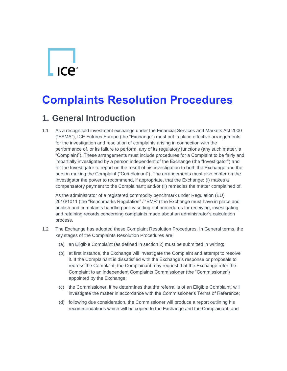# $\mathsf{L}$  ICe<sup>®</sup>

# **Complaints Resolution Procedures**

#### **1. General Introduction**

1.1 As a recognised investment exchange under the Financial Services and Markets Act 2000 ("FSMA"), ICE Futures Europe (the "Exchange") must put in place effective arrangements for the investigation and resolution of complaints arising in connection with the performance of, or its failure to perform, any of its regulatory functions (any such matter, a "Complaint"). These arrangements must include procedures for a Complaint to be fairly and impartially investigated by a person independent of the Exchange (the "Investigator") and for the Investigator to report on the result of his investigation to both the Exchange and the person making the Complaint ("Complainant"). The arrangements must also confer on the Investigator the power to recommend, if appropriate, that the Exchange: (i) makes a compensatory payment to the Complainant; and/or (ii) remedies the matter complained of.

As the administrator of a registered commodity benchmark under Regulation (EU) 2016/1011 (the "Benchmarks Regulation" / "BMR") the Exchange must have in place and publish and complaints handling policy setting out procedures for receiving, investigating and retaining records concerning complaints made about an administrator's calculation process.

- 1.2 The Exchange has adopted these Complaint Resolution Procedures. In General terms, the key stages of the Complaints Resolution Procedures are:
	- (a) an Eligible Complaint (as defined in section 2) must be submitted in writing;
	- (b) at first instance, the Exchange will investigate the Complaint and attempt to resolve it. If the Complainant is dissatisfied with the Exchange's response or proposals to redress the Complaint, the Complainant may request that the Exchange refer the Complaint to an independent Complaints Commissioner (the "Commissioner") appointed by the Exchange;
	- (c) the Commissioner, if he determines that the referral is of an Eligible Complaint, will investigate the matter in accordance with the Commissioner's Terms of Reference;
	- (d) following due consideration, the Commissioner will produce a report outlining his recommendations which will be copied to the Exchange and the Complainant; and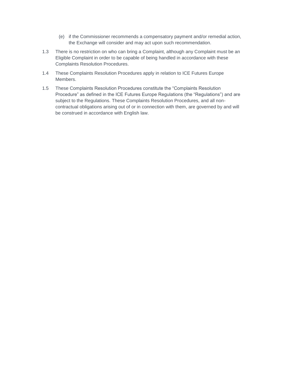- (e) if the Commissioner recommends a compensatory payment and/or remedial action, the Exchange will consider and may act upon such recommendation.
- 1.3 There is no restriction on who can bring a Complaint, although any Complaint must be an Eligible Complaint in order to be capable of being handled in accordance with these Complaints Resolution Procedures.
- 1.4 These Complaints Resolution Procedures apply in relation to ICE Futures Europe Members.
- 1.5 These Complaints Resolution Procedures constitute the "Complaints Resolution Procedure" as defined in the ICE Futures Europe Regulations (the "Regulations") and are subject to the Regulations. These Complaints Resolution Procedures, and all noncontractual obligations arising out of or in connection with them, are governed by and will be construed in accordance with English law.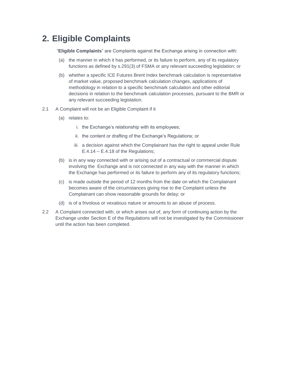#### **2. Eligible Complaints**

"**Eligible Complaints**" are Complaints against the Exchange arising in connection with:

- (a) the manner in which it has performed, or its failure to perform, any of its regulatory functions as defined by s.291(3) of FSMA or any relevant succeeding legislation; or
- (b) whether a specific ICE Futures Brent Index benchmark calculation is representative of market value, proposed benchmark calculation changes, applications of methodology in relation to a specific benchmark calculation and other editorial decisions in relation to the benchmark calculation processes, pursuant to the BMR or any relevant succeeding legislation.
- 2.1 A Complaint will not be an Eligible Complaint if it
	- (a) relates to:
		- i. the Exchange's relationship with its employees;
		- ii. the content or drafting of the Exchange's Regulations; or
		- iii. a decision against which the Complainant has the right to appeal under Rule E.4.14 – E.4.18 of the Regulations;
	- (b) is in any way connected with or arising out of a contractual or commercial dispute involving the Exchange and is not connected in any way with the manner in which the Exchange has performed or its failure to perform any of its regulatory functions;
	- (c) is made outside the period of 12 months from the date on which the Complainant becomes aware of the circumstances giving rise to the Complaint unless the Complainant can show reasonable grounds for delay; or
	- (d) is of a frivolous or vexatious nature or amounts to an abuse of process.
- 2.2 A Complaint connected with, or which arises out of, any form of continuing action by the Exchange under Section E of the Regulations will not be investigated by the Commissioner until the action has been completed.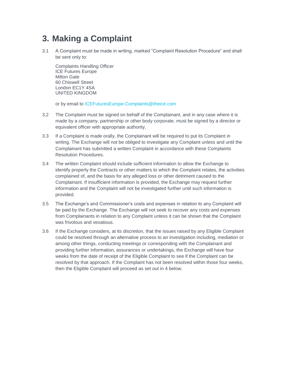## **3. Making a Complaint**

3.1 A Complaint must be made in writing, marked "Complaint Resolution Procedure" and shall be sent only to:

Complaints Handling Officer ICE Futures Europe Milton Gate 60 Chiswell Street London EC1Y 4SA UNITED KINGDOM

or by email to [ICEFuturesEurope-Complaints@theice.com](mailto:ICEFuturesEurope-Complaints@theice.com) 

- 3.2 The Complaint must be signed on behalf of the Complainant, and in any case where it is made by a company, partnership or other body corporate, must be signed by a director or equivalent officer with appropriate authority.
- 3.3 If a Complaint is made orally, the Complainant will be required to put its Complaint in writing. The Exchange will not be obliged to investigate any Complaint unless and until the Complainant has submitted a written Complaint in accordance with these Complaints Resolution Procedures.
- 3.4 The written Complaint should include sufficient information to allow the Exchange to identify properly the Contracts or other matters to which the Complaint relates, the activities complained of, and the basis for any alleged loss or other detriment caused to the Complainant. If insufficient information is provided, the Exchange may request further information and the Complaint will not be investigated further until such information is provided.
- 3.5 The Exchange's and Commissioner's costs and expenses in relation to any Complaint will be paid by the Exchange. The Exchange will not seek to recover any costs and expenses from Complainants in relation to any Complaint unless it can be shown that the Complaint was frivolous and vexatious.
- 3.6 If the Exchange considers, at its discretion, that the issues raised by any Eligible Complaint could be resolved through an alternative process to an investigation including, mediation or among other things, conducting meetings or corresponding with the Complainant and providing further information, assurances or undertakings, the Exchange will have four weeks from the date of receipt of the Eligible Complaint to see if the Complaint can be resolved by that approach. If the Complaint has not been resolved within those four weeks, then the Eligible Complaint will proceed as set out in 4 below.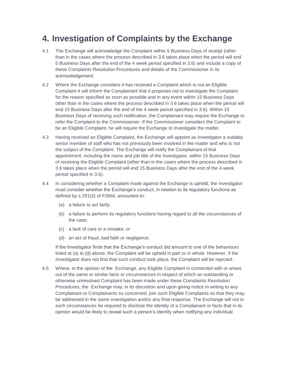## **4. Investigation of Complaints by the Exchange**

- 4.1 The Exchange will acknowledge the Complaint within 5 Business Days of receipt (other than in the cases where the process described in 3.6 takes place when the period will end 5 Business Days after the end of the 4 week period specified in 3.6) and include a copy of these Complaints Resolution Procedures and details of the Commissioner in its acknowledgement.
- 4.2 Where the Exchange considers it has received a Complaint which is not an Eligible Complaint it will inform the Complainant that it proposes not to investigate the Complaint for the reason specified as soon as possible and in any event within 15 Business Days other than in the cases where the process described in 3.6 takes place when the period will end 15 Business Days after the end of the 4 week period specified in 3.6). Within 15 Business Days of receiving such notification, the Complainant may require the Exchange to refer the Complaint to the Commissioner. If the Commissioner considers the Complaint to be an Eligible Complaint, he will require the Exchange to investigate the matter.
- 4.3 Having received an Eligible Complaint, the Exchange will appoint as Investigator a suitably senior member of staff who has not previously been involved in the matter and who is not the subject of the Complaint. The Exchange will notify the Complainant of that appointment, including the name and job title of the Investigator, within 15 Business Days of receiving the Eligible Complaint (other than in the cases where the process described in 3.6 takes place when the period will end 15 Business Days after the end of the 4 week period specified in 3.6).
- 4.4 In considering whether a Complaint made against the Exchange is upheld, the Investigator must consider whether the Exchange's conduct, in relation to its regulatory functions as defined by s.291(3) of FSMA, amounted to:
	- (a) a failure to act fairly;
	- (b) a failure to perform its regulatory functions having regard to all the circumstances of the case;
	- (c) a lack of care or a mistake; or
	- (d) an act of fraud, bad faith or negligence.

If the Investigator finds that the Exchange's conduct did amount to one of the behaviours listed at (a) to (d) above, the Complaint will be upheld in part or in whole. However, if the Investigator does not find that such conduct took place, the Complaint will be rejected.

4.5 Where, in the opinion of the Exchange, any Eligible Complaint is connected with or arises out of the same or similar facts or circumstances in respect of which an outstanding or otherwise unresolved Complaint has been made under these Complaints Resolution Procedures, the Exchange may, in its discretion and upon giving notice in writing to any Complainant or Complainants so concerned, join such Eligible Complaints so that they may be addressed in the same investigation and/or any final response. The Exchange will not in such circumstances be required to disclose the identity of a Complainant or facts that in its opinion would be likely to reveal such a person's identity when notifying any individual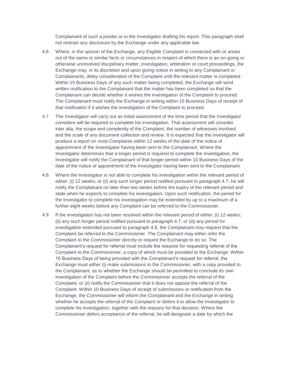Complainant of such a joinder or in the Investigator drafting his report. This paragraph shall not restrain any disclosure by the Exchange under any applicable law.

- 4.6 Where, in the opinion of the Exchange, any Eligible Complaint is connected with or arises out of the same or similar facts or circumstances in respect of which there is an on-going or otherwise unresolved disciplinary matter, investigation, arbitration or court proceedings, the Exchange may, in its discretion and upon giving notice in writing to any Complainant or Complainants, delay consideration of the Complaint until the relevant matter is completed. Within 15 Business Days of any such matter being completed, the Exchange will send written notification to the Complainant that the matter has been completed so that the Complainant can decide whether it wishes the investigation of the Complaint to proceed. The Complainant must notify the Exchange in writing within 15 Business Days of receipt of that notification if it wishes the investigation of the Complaint to proceed.
- 4.7 The Investigator will carry out an initial assessment of the time period that the Investigator considers will be required to complete his investigation. That assessment will consider, inter alia, the scope and complexity of the Complaint, the number of witnesses involved and the scale of any document collection and review. It is expected that the Investigator will produce a report on most Complaints within 12 weeks of the date of the notice of appointment of the Investigator having been sent to the Complainant. Where the Investigator determines that a longer period is required to complete the investigation, the Investigator will notify the Complainant of that longer period within 10 Business Days of the date of the notice of appointment of the Investigator having been sent to the Complainant.
- 4.8 Where the Investigator is not able to complete his investigation within the relevant period of either: (i) 12 weeks; or (ii) any such longer period notified pursuant to paragraph 4.7, he will notify the Complainant no later than two weeks before the expiry of the relevant period and state when he expects to complete his investigation. Upon such notification, the period for the Investigator to complete his investigation may be extended by up to a maximum of a further eight weeks before any Complaint can be referred to the Commissioner.
- 4.9 If the investigation has not been resolved within the relevant period of either: (i) 12 weeks; (ii) any such longer period notified pursuant to paragraph 4.7; or (iii) any period for investigation extended pursuant to paragraph 4.8, the Complainant may request that the Complaint be referred to the Commissioner. The Complainant may either refer the Complaint to the Commissioner directly or require the Exchange to do so. The Complainant's request for referral must include the reasons for requesting referral of the Complaint to the Commissioner, a copy of which must be provided to the Exchange. Within 10 Business Days of being provided with the Complainant's request for referral, the Exchange must either (i) make submissions to the Commissioner, with a copy provided to the Complainant, as to whether the Exchange should be permitted to conclude its own investigation of the Complaint before the Commissioner accepts the referral of the Complaint; or (ii) notify the Commissioner that it does not oppose the referral of the Complaint. Within 10 Business Days of receipt of submissions or notification from the Exchange, the Commissioner will inform the Complainant and the Exchange in writing whether he accepts the referral of the Complaint or defers it to allow the Investigator to complete his investigation, together with the reasons for that decision. Where the Commissioner defers acceptance of the referral, he will designate a date by which the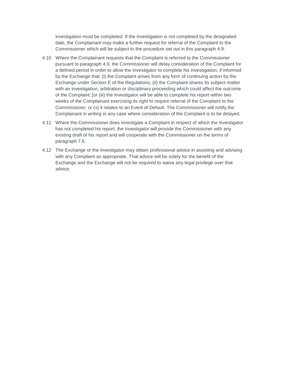investigation must be completed. If the investigation is not completed by the designated date, the Complainant may make a further request for referral of the Complaint to the Commissioner which will be subject to the procedure set out in this paragraph 4.9.

- 4.10 Where the Complainant requests that the Complaint is referred to the Commissioner pursuant to paragraph 4.9, the Commissioner will delay consideration of the Complaint for a defined period in order to allow the Investigator to complete his investigation, if informed by the Exchange that: (i) the Complaint arises from any form of continuing action by the Exchange under Section E of the Regulations; (ii) the Complaint shares its subject matter with an investigation, arbitration or disciplinary proceeding which could affect the outcome of the Complaint; [or (iii) the Investigator will be able to complete his report within two weeks of the Complainant exercising its right to require referral of the Complaint to the Commissioner; or (v) it relates to an Event of Default. The Commissioner will notify the Complainant in writing in any case where consideration of the Complaint is to be delayed.
- 4.11 Where the Commissioner does investigate a Complaint in respect of which the Investigator has not completed his report, the Investigator will provide the Commissioner with any existing draft of his report and will cooperate with the Commissioner on the terms of paragraph 7.6.
- 4.12 The Exchange or the Investigator may obtain professional advice in assisting and advising with any Complaint as appropriate. That advice will be solely for the benefit of the Exchange and the Exchange will not be required to waive any legal privilege over that advice.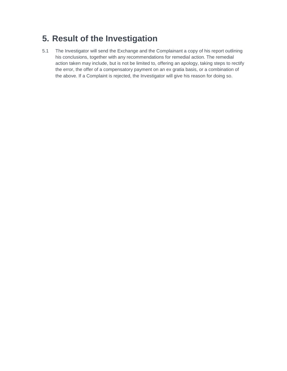# **5. Result of the Investigation**

5.1 The Investigator will send the Exchange and the Complainant a copy of his report outlining his conclusions, together with any recommendations for remedial action. The remedial action taken may include, but is not be limited to, offering an apology, taking steps to rectify the error, the offer of a compensatory payment on an ex gratia basis, or a combination of the above. If a Complaint is rejected, the Investigator will give his reason for doing so.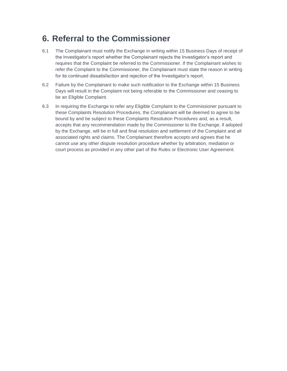## **6. Referral to the Commissioner**

- 6.1 The Complainant must notify the Exchange in writing within 15 Business Days of receipt of the Investigator's report whether the Complainant rejects the Investigator's report and requires that the Complaint be referred to the Commissioner. If the Complainant wishes to refer the Complaint to the Commissioner, the Complainant must state the reason in writing for its continued dissatisfaction and rejection of the Investigator's report.
- 6.2 Failure by the Complainant to make such notification to the Exchange within 15 Business Days will result in the Complaint not being referable to the Commissioner and ceasing to be an Eligible Complaint.
- 6.3 In requiring the Exchange to refer any Eligible Complaint to the Commissioner pursuant to these Complaints Resolution Procedures, the Complainant will be deemed to agree to be bound by and be subject to these Complaints Resolution Procedures and, as a result, accepts that any recommendation made by the Commissioner to the Exchange, if adopted by the Exchange, will be in full and final resolution and settlement of the Complaint and all associated rights and claims. The Complainant therefore accepts and agrees that he cannot use any other dispute resolution procedure whether by arbitration, mediation or court process as provided in any other part of the Rules or Electronic User Agreement.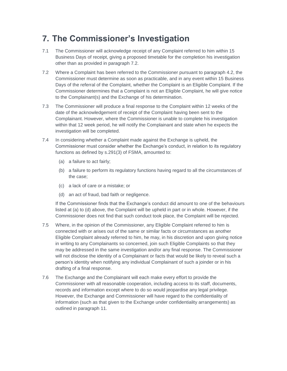#### **7. The Commissioner's Investigation**

- 7.1 The Commissioner will acknowledge receipt of any Complaint referred to him within 15 Business Days of receipt, giving a proposed timetable for the completion his investigation other than as provided in paragraph 7.2.
- 7.2 Where a Complaint has been referred to the Commissioner pursuant to paragraph 4.2, the Commissioner must determine as soon as practicable, and in any event within 15 Business Days of the referral of the Complaint, whether the Complaint is an Eligible Complaint. If the Commissioner determines that a Complaint is not an Eligible Complaint, he will give notice to the Complainant(s) and the Exchange of his determination.
- 7.3 The Commissioner will produce a final response to the Complaint within 12 weeks of the date of the acknowledgement of receipt of the Complaint having been sent to the Complainant. However, where the Commissioner is unable to complete his investigation within that 12 week period, he will notify the Complainant and state when he expects the investigation will be completed.
- 7.4 In considering whether a Complaint made against the Exchange is upheld, the Commissioner must consider whether the Exchange's conduct, in relation to its regulatory functions as defined by s.291(3) of FSMA, amounted to:
	- (a) a failure to act fairly;
	- (b) a failure to perform its regulatory functions having regard to all the circumstances of the case;
	- (c) a lack of care or a mistake; or
	- (d) an act of fraud, bad faith or negligence.

If the Commissioner finds that the Exchange's conduct did amount to one of the behaviours listed at (a) to (d) above, the Complaint will be upheld in part or in whole. However, if the Commissioner does not find that such conduct took place, the Complaint will be rejected.

- 7.5 Where, in the opinion of the Commissioner, any Eligible Complaint referred to him is connected with or arises out of the same or similar facts or circumstances as another Eligible Complaint already referred to him, he may, in his discretion and upon giving notice in writing to any Complainants so concerned, join such Eligible Complaints so that they may be addressed in the same investigation and/or any final response. The Commissioner will not disclose the identity of a Complainant or facts that would be likely to reveal such a person's identity when notifying any individual Complainant of such a joinder or in his drafting of a final response.
- 7.6 The Exchange and the Complainant will each make every effort to provide the Commissioner with all reasonable cooperation, including access to its staff, documents, records and information except where to do so would jeopardise any legal privilege. However, the Exchange and Commissioner will have regard to the confidentiality of information (such as that given to the Exchange under confidentiality arrangements) as outlined in paragraph 11.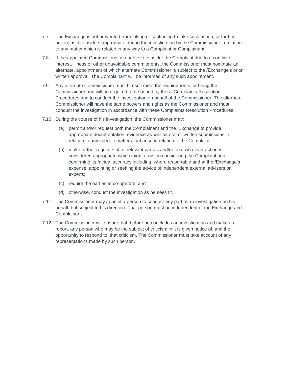- 7.7 The Exchange is not prevented from taking or continuing to take such action, or further action, as it considers appropriate during the investigation by the Commissioner in relation to any matter which is related in any way to a Complaint or Complainant.
- 7.8 If the appointed Commissioner is unable to consider the Complaint due to a conflict of interest, illness or other unavoidable commitments, the Commissioner must nominate an alternate, appointment of which alternate Commissioner is subject to the /Exchange's prior written approval. The Complainant will be informed of any such appointment.
- 7.9 Any alternate Commissioner must himself meet the requirements for being the Commissioner and will be required to be bound by these Complaints Resolution Procedures and to conduct the investigation on behalf of the Commissioner. The alternate Commissioner will have the same powers and rights as the Commissioner and must conduct the investigation in accordance with these Complaints Resolution Procedures.
- 7.10 During the course of his investigation, the Commissioner may:
	- (a) permit and/or request both the Complainant and the Exchange to provide appropriate documentation, evidence as well as oral or written submissions in relation to any specific matters that arise in relation to the Complaint;
	- (b) make further requests of all relevant parties and/or take whatever action is considered appropriate which might assist in considering the Complaint and confirming its factual accuracy including, where reasonable and at the /Exchange's expense, appointing or seeking the advice of independent external advisers or experts;
	- (c) require the parties to co-operate; and
	- (d) otherwise, conduct the investigation as he sees fit.
- 7.11 The Commissioner may appoint a person to conduct any part of an investigation on his behalf, but subject to his direction. That person must be independent of the Exchange and Complainant.
- 7.12 The Commissioner will ensure that, before he concludes an investigation and makes a report, any person who may be the subject of criticism in it is given notice of, and the opportunity to respond to, that criticism. The Commissioner must take account of any representations made by such person.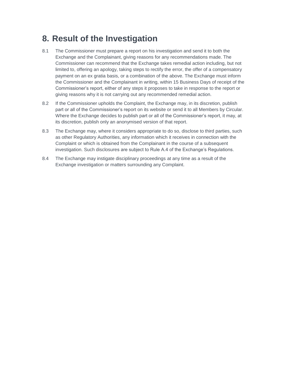## **8. Result of the Investigation**

- 8.1 The Commissioner must prepare a report on his investigation and send it to both the Exchange and the Complainant, giving reasons for any recommendations made. The Commissioner can recommend that the Exchange takes remedial action including, but not limited to, offering an apology, taking steps to rectify the error, the offer of a compensatory payment on an ex gratia basis, or a combination of the above. The Exchange must inform the Commissioner and the Complainant in writing, within 15 Business Days of receipt of the Commissioner's report, either of any steps it proposes to take in response to the report or giving reasons why it is not carrying out any recommended remedial action.
- 8.2 If the Commissioner upholds the Complaint, the Exchange may, in its discretion, publish part or all of the Commissioner's report on its website or send it to all Members by Circular. Where the Exchange decides to publish part or all of the Commissioner's report, it may, at its discretion, publish only an anonymised version of that report.
- 8.3 The Exchange may, where it considers appropriate to do so, disclose to third parties, such as other Regulatory Authorities, any information which it receives in connection with the Complaint or which is obtained from the Complainant in the course of a subsequent investigation. Such disclosures are subject to Rule A.4 of the Exchange's Regulations.
- 8.4 The Exchange may instigate disciplinary proceedings at any time as a result of the Exchange investigation or matters surrounding any Complaint.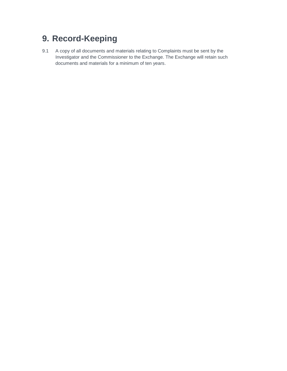# **9. Record-Keeping**

9.1 A copy of all documents and materials relating to Complaints must be sent by the Investigator and the Commissioner to the Exchange. The Exchange will retain such documents and materials for a minimum of ten years.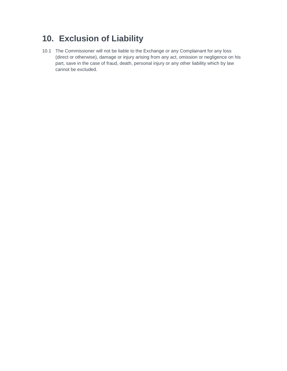# **10. Exclusion of Liability**

10.1 The Commissioner will not be liable to the Exchange or any Complainant for any loss (direct or otherwise), damage or injury arising from any act, omission or negligence on his part, save in the case of fraud, death, personal injury or any other liability which by law cannot be excluded.